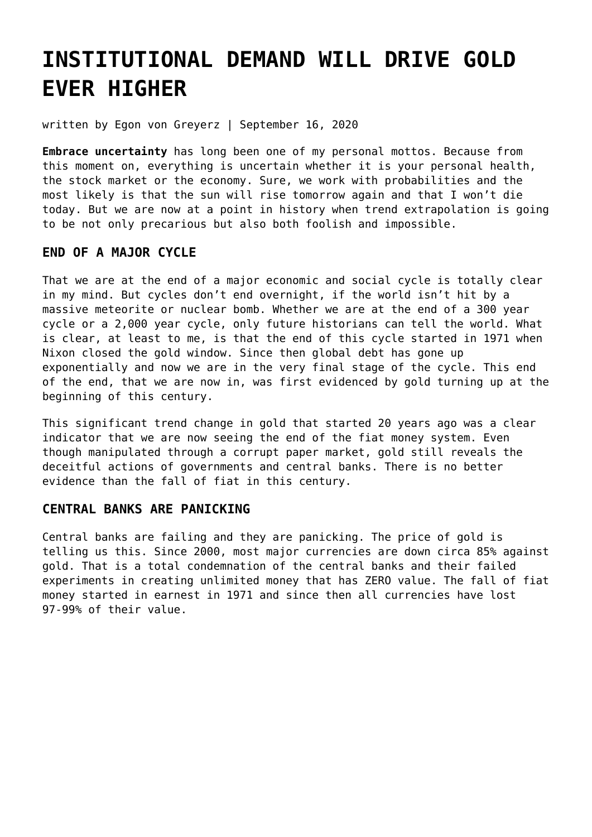# **[INSTITUTIONAL DEMAND WILL DRIVE GOLD](https://goldswitzerland.com/institutional-demand-will-drive-gold-ever-higher/) [EVER HIGHER](https://goldswitzerland.com/institutional-demand-will-drive-gold-ever-higher/)**

written by Egon von Greyerz | September 16, 2020

**Embrace uncertainty** has long been one of my personal mottos. Because from this moment on, everything is uncertain whether it is your personal health, the stock market or the economy. Sure, we work with probabilities and the most likely is that the sun will rise tomorrow again and that I won't die today. But we are now at a point in history when trend extrapolation is going to be not only precarious but also both foolish and impossible.

### **END OF A MAJOR CYCLE**

That we are at the end of a major economic and social cycle is totally clear in my mind. But cycles don't end overnight, if the world isn't hit by a massive meteorite or nuclear bomb. Whether we are at the end of a 300 year cycle or a 2,000 year cycle, only future historians can tell the world. What is clear, at least to me, is that the end of this cycle started in 1971 when Nixon closed the gold window. Since then global debt has gone up exponentially and now we are in the very final stage of the cycle. This end of the end, that we are now in, was first evidenced by gold turning up at the beginning of this century.

This significant trend change in gold that started 20 years ago was a clear indicator that we are now seeing the end of the fiat money system. Even though manipulated through a corrupt paper market, gold still reveals the deceitful actions of governments and central banks. There is no better evidence than the fall of fiat in this century.

### **CENTRAL BANKS ARE PANICKING**

Central banks are failing and they are panicking. The price of gold is telling us this. Since 2000, most major currencies are down circa 85% against gold. That is a total condemnation of the central banks and their failed experiments in creating unlimited money that has ZERO value. The fall of fiat money started in earnest in 1971 and since then all currencies have lost 97-99% of their value.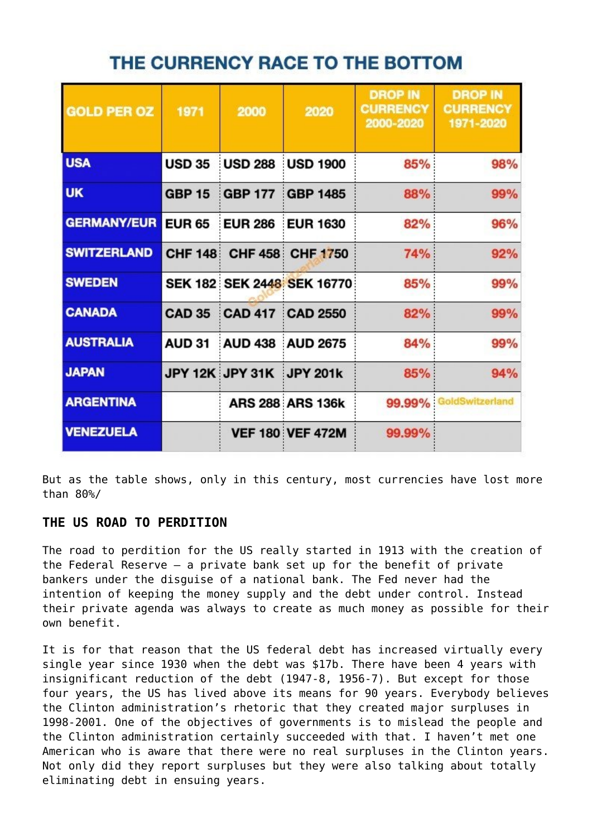# THE CURRENCY RACE TO THE BOTTOM

| <b>GOLD PER OZ</b> | 1971           | 2000            | 2020                       | <b>DROP IN</b><br><b>CURRENCY</b><br>2000-2020 | <b>DROP IN</b><br><b>CURRENCY</b><br>1971-2020 |
|--------------------|----------------|-----------------|----------------------------|------------------------------------------------|------------------------------------------------|
| <b>USA</b>         | <b>USD 35</b>  | <b>USD 288</b>  | <b>USD 1900</b>            | 85%                                            | 98%                                            |
| <b>UK</b>          | <b>GBP 15</b>  | <b>GBP 177</b>  | <b>GBP 1485</b>            | 88%                                            | 99%                                            |
| <b>GERMANY/EUR</b> | <b>EUR 65</b>  | <b>EUR 286</b>  | <b>EUR 1630</b>            | 82%                                            | 96%                                            |
| <b>SWITZERLAND</b> | <b>CHF 148</b> |                 | CHF 458 CHF 1750           | 74%                                            | 92%                                            |
| <b>SWEDEN</b>      |                |                 | SEK 182 SEK 2448 SEK 16770 | 85%                                            | 99%                                            |
| <b>CANADA</b>      | <b>CAD 35</b>  | <b>CAD 417</b>  | <b>CAD 2550</b>            | 82%                                            | 99%                                            |
| <b>AUSTRALIA</b>   | <b>AUD 31</b>  | <b>AUD 438</b>  | <b>AUD 2675</b>            | 84%                                            | 99%                                            |
| <b>JAPAN</b>       |                | JPY 12K JPY 31K | <b>JPY 201k</b>            | 85%                                            | 94%                                            |
| <b>ARGENTINA</b>   |                |                 | <b>ARS 288 ARS 136k</b>    | 99.99%                                         | GoldSwitzerland                                |
| <b>VENEZUELA</b>   |                |                 | <b>VEF 180 VEF 472M</b>    | 99.99%                                         |                                                |

But as the table shows, only in this century, most currencies have lost more than 80%/

# **THE US ROAD TO PERDITION**

The road to perdition for the US really started in 1913 with the creation of the Federal Reserve – a private bank set up for the benefit of private bankers under the disguise of a national bank. The Fed never had the intention of keeping the money supply and the debt under control. Instead their private agenda was always to create as much money as possible for their own benefit.

It is for that reason that the US federal debt has increased virtually every single year since 1930 when the debt was \$17b. There have been 4 years with insignificant reduction of the debt (1947-8, 1956-7). But except for those four years, the US has lived above its means for 90 years. Everybody believes the Clinton administration's rhetoric that they created major surpluses in 1998-2001. One of the objectives of governments is to mislead the people and the Clinton administration certainly succeeded with that. I haven't met one American who is aware that there were no real surpluses in the Clinton years. Not only did they report surpluses but they were also talking about totally eliminating debt in ensuing years.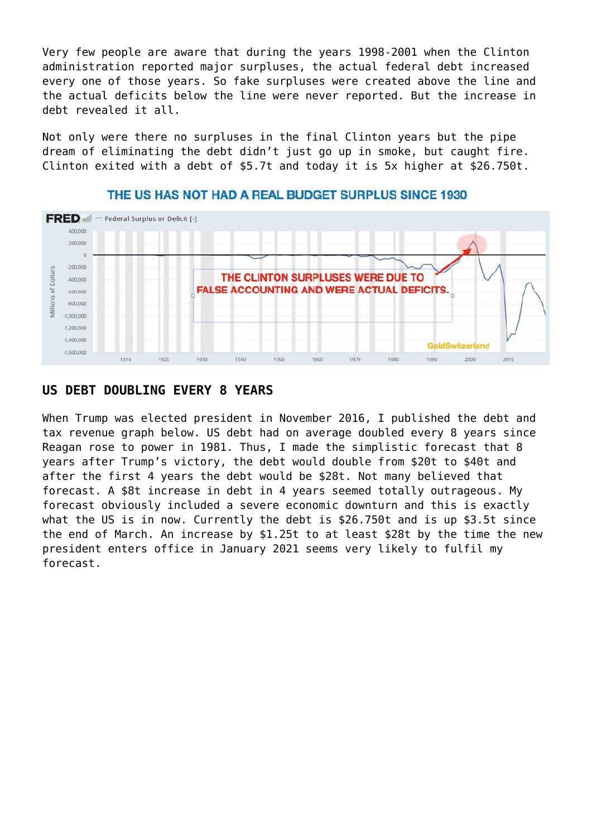Very few people are aware that during the years 1998-2001 when the Clinton administration reported major surpluses, the actual federal debt increased every one of those years. So fake surpluses were created above the line and the actual deficits below the line were never reported. But the increase in debt revealed it all.

Not only were there no surpluses in the final Clinton years but the pipe dream of eliminating the debt didn't just go up in smoke, but caught fire. Clinton exited with a debt of \$5.7t and today it is 5x higher at \$26.750t.



#### THE US HAS NOT HAD A REAL BUDGET SURPLUS SINCE 1930

# **US DEBT DOUBLING EVERY 8 YEARS**

When Trump was elected president in November 2016, I published the debt and tax revenue graph below. US debt had on average doubled every 8 years since Reagan rose to power in 1981. Thus, I made the simplistic forecast that 8 years after Trump's victory, the debt would double from \$20t to \$40t and after the first 4 years the debt would be \$28t. Not many believed that forecast. A \$8t increase in debt in 4 years seemed totally outrageous. My forecast obviously included a severe economic downturn and this is exactly what the US is in now. Currently the debt is \$26.750t and is up \$3.5t since the end of March. An increase by \$1.25t to at least \$28t by the time the new president enters office in January 2021 seems very likely to fulfil my forecast.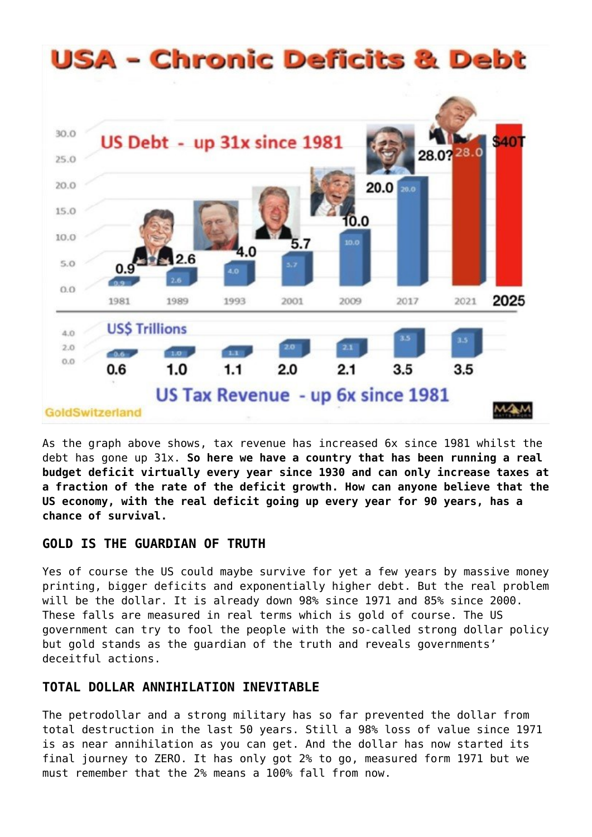

As the graph above shows, tax revenue has increased 6x since 1981 whilst the debt has gone up 31x. **So here we have a country that has been running a real budget deficit virtually every year since 1930 and can only increase taxes at a fraction of the rate of the deficit growth. How can anyone believe that the US economy, with the real deficit going up every year for 90 years, has a chance of survival.**

# **GOLD IS THE GUARDIAN OF TRUTH**

Yes of course the US could maybe survive for yet a few years by massive money printing, bigger deficits and exponentially higher debt. But the real problem will be the dollar. It is already down 98% since 1971 and 85% since 2000. These falls are measured in real terms which is gold of course. The US government can try to fool the people with the so-called strong dollar policy but gold stands as the guardian of the truth and reveals governments' deceitful actions.

# **TOTAL DOLLAR ANNIHILATION INEVITABLE**

The petrodollar and a strong military has so far prevented the dollar from total destruction in the last 50 years. Still a 98% loss of value since 1971 is as near annihilation as you can get. And the dollar has now started its final journey to ZERO. It has only got 2% to go, measured form 1971 but we must remember that the 2% means a 100% fall from now.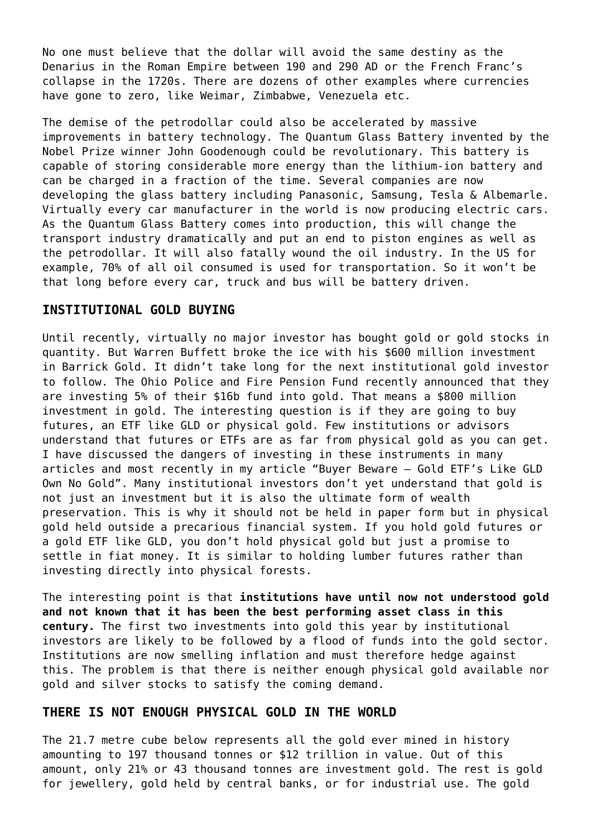No one must believe that the dollar will avoid the same destiny as the Denarius in the Roman Empire between 190 and 290 AD or the French Franc's collapse in the 1720s. There are dozens of other examples where currencies have gone to zero, like Weimar, Zimbabwe, Venezuela etc.

The demise of the petrodollar could also be accelerated by massive improvements in battery technology. The Quantum Glass Battery invented by the Nobel Prize winner John Goodenough could be revolutionary. This battery is capable of storing considerable more energy than the lithium-ion battery and can be charged in a fraction of the time. Several companies are now developing the glass battery including Panasonic, Samsung, Tesla & Albemarle. Virtually every car manufacturer in the world is now producing electric cars. As the Quantum Glass Battery comes into production, this will change the transport industry dramatically and put an end to piston engines as well as the petrodollar. It will also fatally wound the oil industry. In the US for example, 70% of all oil consumed is used for transportation. So it won't be that long before every car, truck and bus will be battery driven.

#### **INSTITUTIONAL GOLD BUYING**

Until recently, virtually no major investor has bought gold or gold stocks in quantity. But Warren Buffett broke the ice with his \$600 million investment in Barrick Gold. It didn't take long for the next institutional gold investor to follow. The Ohio Police and Fire Pension Fund recently announced that they are investing 5% of their \$16b fund into gold. That means a \$800 million investment in gold. The interesting question is if they are going to buy futures, an ETF like GLD or physical gold. Few institutions or advisors understand that futures or ETFs are as far from physical gold as you can get. I have discussed the dangers of investing in these instruments in many articles and most recently in my article "[Buyer Beware – Gold ETF's Like GLD](https://goldswitzerland.com/buyer-beware-gold-etfs-like-gld-own-no-gold/) [Own No Gold](https://goldswitzerland.com/buyer-beware-gold-etfs-like-gld-own-no-gold/)". Many institutional investors don't yet understand that gold is not just an investment but it is also the ultimate form of wealth preservation. This is why it should not be held in paper form but in physical gold held outside a precarious financial system. If you hold gold futures or a gold ETF like GLD, you don't hold physical gold but just a promise to settle in fiat money. It is similar to holding [lumber futures](https://thetimberlandinvestor.com/lumber-prices/) rather than investing directly into physical forests.

The interesting point is that **institutions have until now not understood gold and not known that it has been the best performing asset class in this century.** The first two investments into gold this year by institutional investors are likely to be followed by a flood of funds into the gold sector. Institutions are now smelling inflation and must therefore hedge against this. The problem is that there is neither enough physical gold available nor gold and silver stocks to satisfy the coming demand.

#### **THERE IS NOT ENOUGH PHYSICAL GOLD IN THE WORLD**

The 21.7 metre cube below represents all the gold ever mined in history amounting to 197 thousand tonnes or \$12 trillion in value. Out of this amount, only 21% or 43 thousand tonnes are investment gold. The rest is gold for jewellery, gold held by central banks, or for industrial use. The gold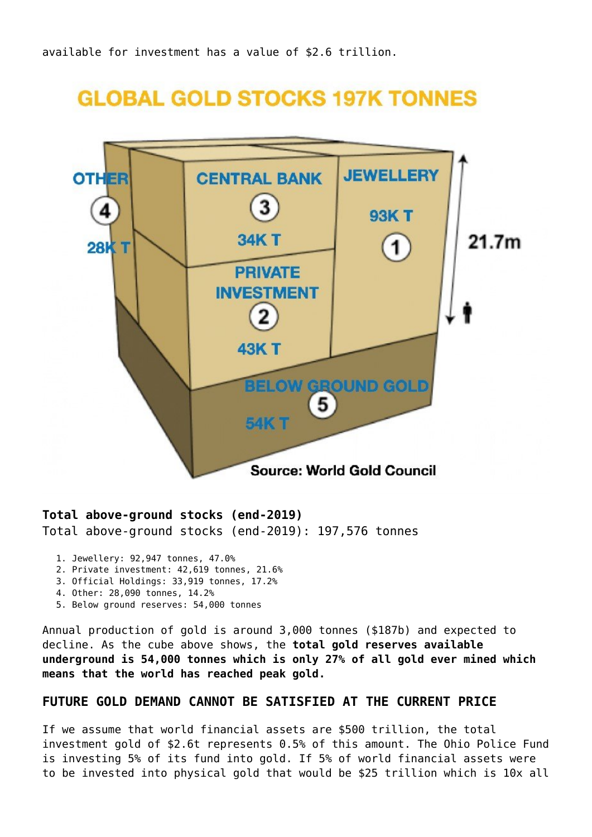# **GLOBAL GOLD STOCKS 197K TONNES**



#### **Total above-ground stocks (end-2019)** Total above-ground stocks (end-2019): 197,576 tonnes

- 1. Jewellery: 92,947 tonnes, 47.0%
- 2. Private investment: 42,619 tonnes, 21.6%
- 3. Official Holdings: 33,919 tonnes, 17.2%
- 4. Other: 28,090 tonnes, 14.2%
- 5. Below ground reserves: 54,000 tonnes

Annual production of gold is around 3,000 tonnes (\$187b) and expected to decline. As the cube above shows, the **total gold reserves available underground is 54,000 tonnes which is only 27% of all gold ever mined which means that the world has reached peak gold.**

### **FUTURE GOLD DEMAND CANNOT BE SATISFIED AT THE CURRENT PRICE**

If we assume that world financial assets are \$500 trillion, the total investment gold of \$2.6t represents 0.5% of this amount. The Ohio Police Fund is investing 5% of its fund into gold. If 5% of world financial assets were to be invested into physical gold that would be \$25 trillion which is 10x all